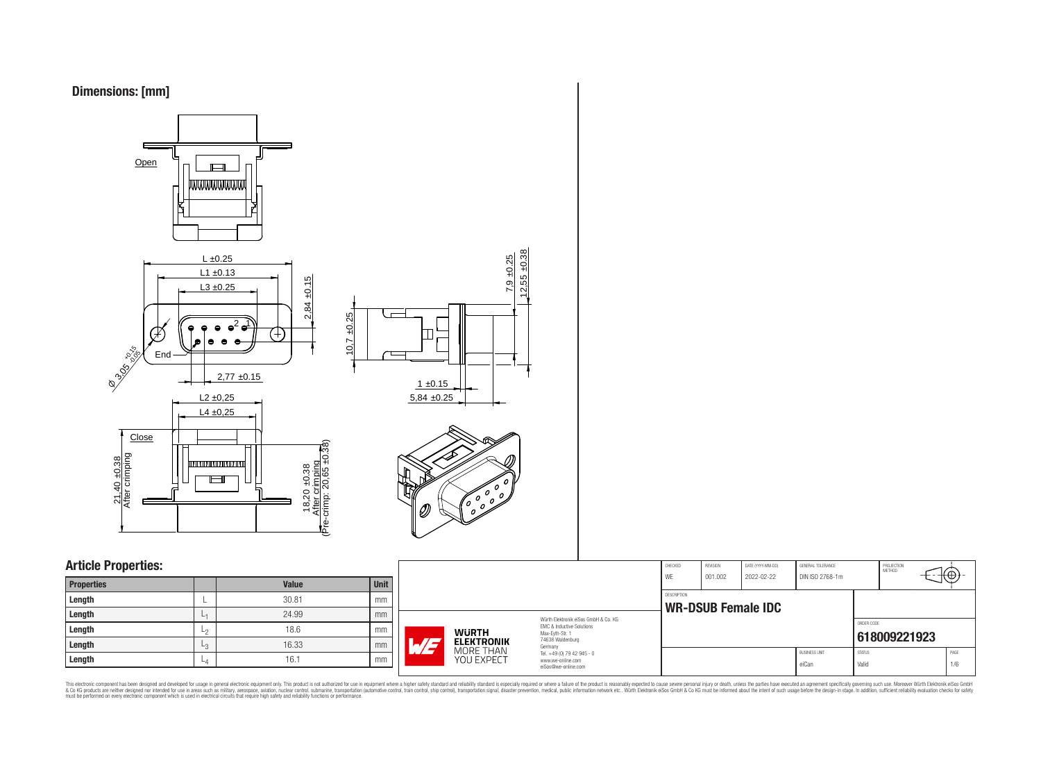



## **Article Properties:**

| <b>Properties</b> |      | <b>Value</b> | <b>Unit</b> |
|-------------------|------|--------------|-------------|
| Length            |      | 30.81        | mm          |
| Length            | L1   | 24.99        | mm          |
| Length            | ∟շ   | 18.6         | mm          |
| Length            | L3   | 16.33        | mm          |
| Length            | $-4$ | 16.1         | mm          |

|                            |                                                                                                                                | CHECKED<br>WF | REVISION<br>001.002 | DATE (YYYY-MM-DD)<br>2022-02-22 | GENERAL TOLERANCE<br>DIN ISO 2768-1m |                        | PROJECTION<br>METHOD | €Θ          |
|----------------------------|--------------------------------------------------------------------------------------------------------------------------------|---------------|---------------------|---------------------------------|--------------------------------------|------------------------|----------------------|-------------|
|                            |                                                                                                                                | DESCRIPTION   |                     | <b>WR-DSUB Female IDC</b>       |                                      |                        |                      |             |
| WURTH<br><b>ELEKTRONIK</b> | Würth Flektronik eiSos GmbH & Co. KG<br><b>EMC &amp; Inductive Solutions</b><br>Max-Evth-Str. 1<br>74638 Waldenburg<br>Germany |               |                     |                                 |                                      | ORDER CODE             | 618009221923         |             |
| MORE THAN<br>YOU EXPECT    | Tel. +49 (0) 79 42 945 - 0<br>www.we-online.com<br>eiSos@we-online.com                                                         |               |                     |                                 | <b>BUSINESS UNIT</b><br>eiCan        | <b>STATUS</b><br>Valid |                      | PAGE<br>1/6 |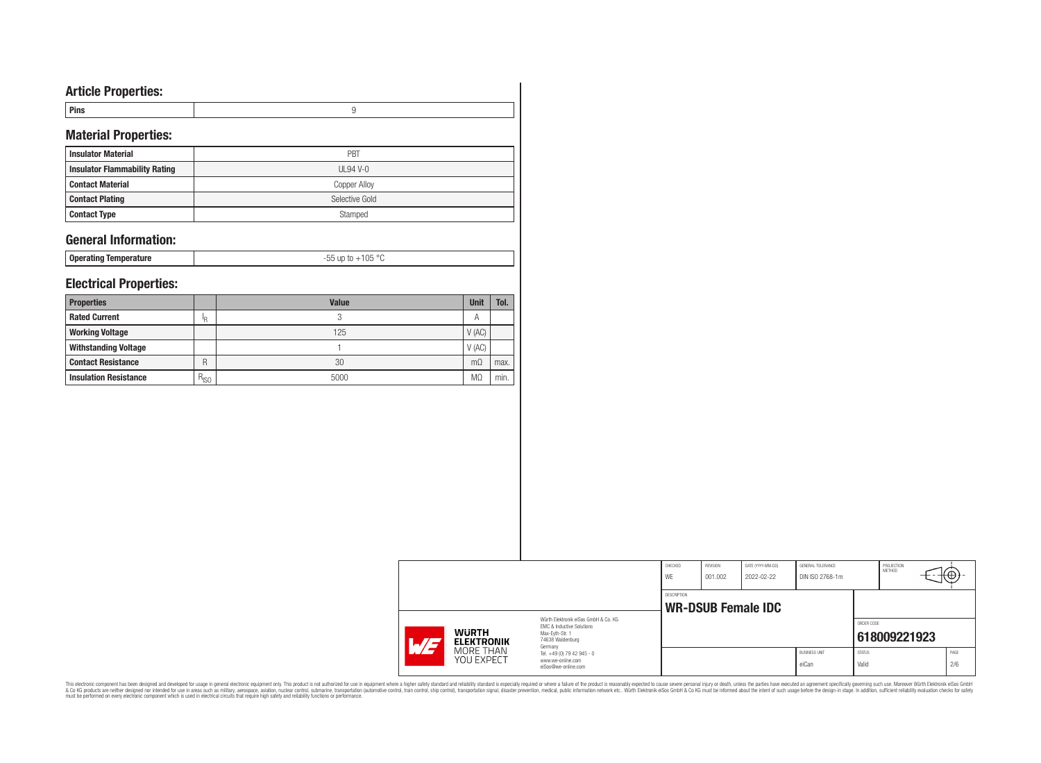# **Article Properties:**

| тніз |  |
|------|--|
|      |  |

# **Material Properties:**

| <b>Insulator Material</b>            | PBT            |
|--------------------------------------|----------------|
| <b>Insulator Flammability Rating</b> | UL94 V-0       |
| <b>Contact Material</b>              | Copper Alloy   |
| <b>Contact Plating</b>               | Selective Gold |
| <b>Contact Type</b>                  | Stamped        |

## **General Information:**

**Operating Temperature** -55 up to +105 °C

## **Electrical Properties:**

| <b>Properties</b>            |           | <b>Value</b> | <b>Unit</b> | Tol. |
|------------------------------|-----------|--------------|-------------|------|
| <b>Rated Current</b>         | I₽        | ◠<br>υ       | A           |      |
| <b>Working Voltage</b>       |           | 125          | V(AC)       |      |
| <b>Withstanding Voltage</b>  |           |              | V(AC)       |      |
| <b>Contact Resistance</b>    | R         | 30           | m(1)        | max. |
| <b>Insulation Resistance</b> | $R_{ISO}$ | 5000         | MΩ          | min. |

|                                         |                                                                             | CHECKED<br>WE | REVISION<br>001.002 | DATE (YYYY-MM-DD)<br>2022-02-22 | GENERAL TOLERANCE<br>DIN ISO 2768-1m |                        | PROJECTION<br>METHOD | ₩           |
|-----------------------------------------|-----------------------------------------------------------------------------|---------------|---------------------|---------------------------------|--------------------------------------|------------------------|----------------------|-------------|
|                                         |                                                                             | DESCRIPTION   |                     |                                 |                                      |                        |                      |             |
|                                         | Würth Flektronik eiSos GmbH & Co. KG                                        |               |                     | <b>WR-DSUB Female IDC</b>       |                                      | ORDER CODE             |                      |             |
| <b>WURTH</b><br><b>ELEKTRONIK</b><br>WE | EMC & Inductive Solutions<br>Max-Eyth-Str. 1<br>74638 Waldenburg<br>Germany |               |                     |                                 |                                      |                        | 618009221923         |             |
| MORE THAN<br>YOU EXPECT                 | Tel. +49 (0) 79 42 945 - 0<br>www.we-online.com<br>eiSos@we-online.com      |               |                     |                                 | <b>BUSINESS UNIT</b><br>eiCan        | <b>STATUS</b><br>Valid |                      | PAGE<br>2/6 |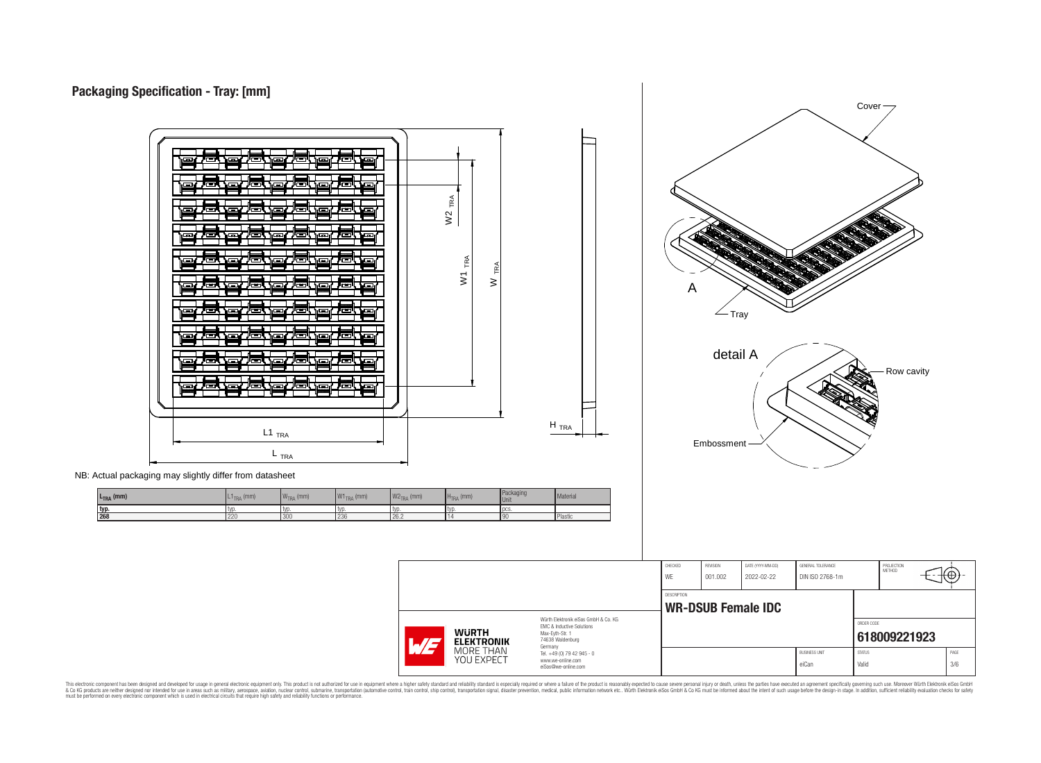



NB: Actual packaging may slightly differ from datasheet

| L <sub>TRA</sub> (mm) | .1 <sub>TRA</sub> (mm) | $WTRA$ (mm) | NAI <sub>2</sub><br>$\mid$ W1 $_{\sf TRA}$ (mm) | $W2_{TRA}$ (mm) | $HTRA$ (mm) | Packaging<br><b>Unit</b> | Material |
|-----------------------|------------------------|-------------|-------------------------------------------------|-----------------|-------------|--------------------------|----------|
| typ                   | <b>IVD</b>             | tv          | l typ                                           | l typ           | l typ       | l pcs                    |          |
| 1268                  | 220                    | 300         | 236                                             | 26.2            |             | 90                       | Plastic  |

CHECKED REVISION DATE (YYYY-MM-DD) GENERAL TOLERANCE PROJECTION<br>METHOD Θ WE 001.002 2022-02-22 DIN ISO 2768-1m DESCRIPTION **WR-DSUB Female IDC** Würth Elektronik eiSos GmbH & Co. KG ORDER CODE EMC & Inductive Solutions **WURTH** Max-Eyth-Str. 1 **[618009221923](https://www.we-online.com/catalog/en/article/618009221923) ELEKTRONIK** 74638 Waldenburg Germany MORE THAN<br>YOU EXPECT BUSINESS UNIT STATUS STATUS PAGE Tel. +49 (0) 79 42 945 - 0 www.we-online.com eiCan Valid 3/6 eiSos@we-online.com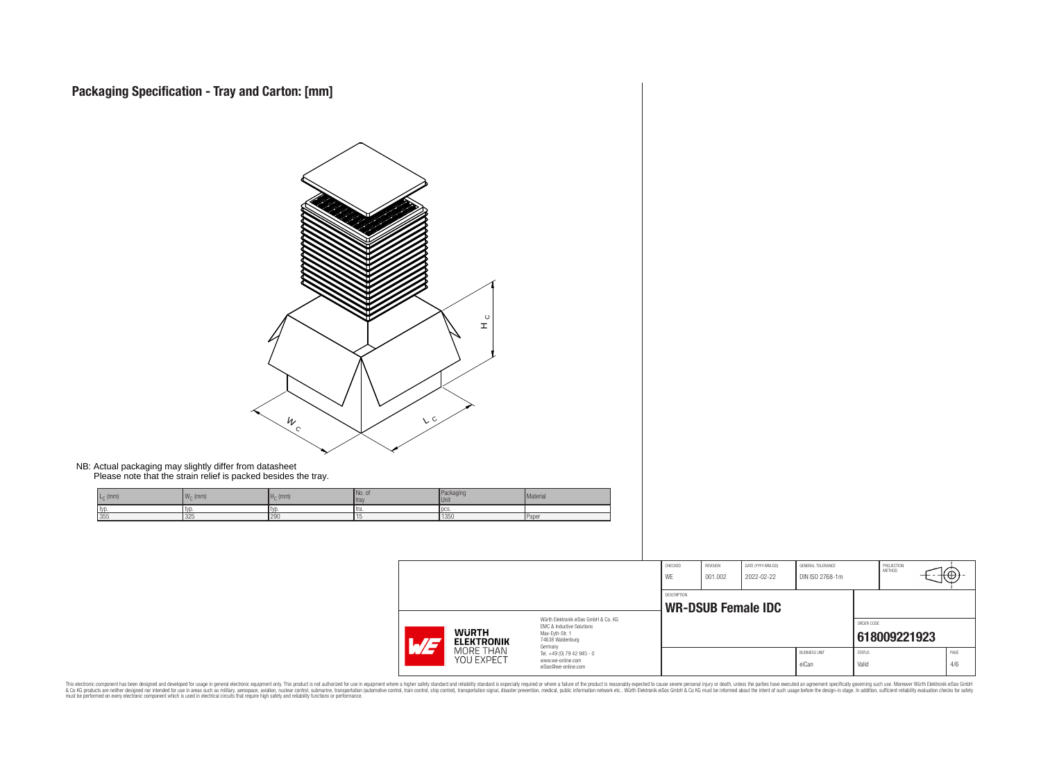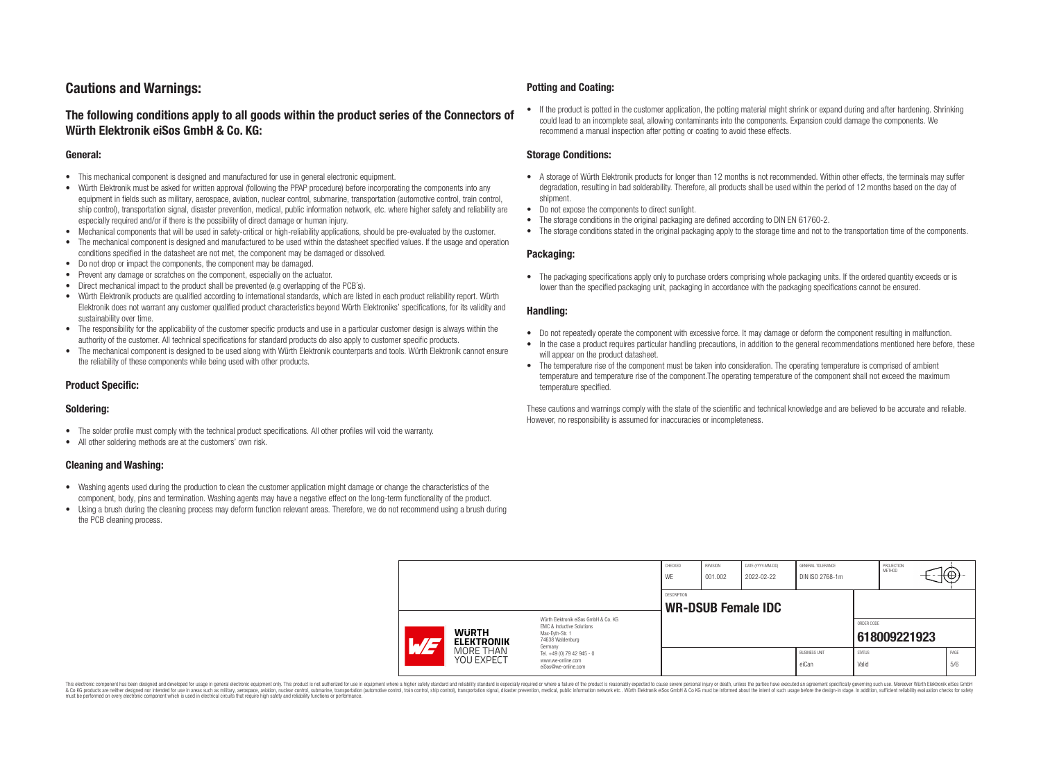# **Cautions and Warnings:**

## **The following conditions apply to all goods within the product series of the Connectors of Würth Elektronik eiSos GmbH & Co. KG:**

#### **General:**

- This mechanical component is designed and manufactured for use in general electronic equipment.
- Würth Elektronik must be asked for written approval (following the PPAP procedure) before incorporating the components into any equipment in fields such as military, aerospace, aviation, nuclear control, submarine, transportation (automotive control, train control, ship control), transportation signal, disaster prevention, medical, public information network, etc. where higher safety and reliability are especially required and/or if there is the possibility of direct damage or human injury.
- Mechanical components that will be used in safety-critical or high-reliability applications, should be pre-evaluated by the customer.
- The mechanical component is designed and manufactured to be used within the datasheet specified values. If the usage and operation conditions specified in the datasheet are not met, the component may be damaged or dissolved.
- Do not drop or impact the components, the component may be damaged.
- Prevent any damage or scratches on the component, especially on the actuator.
- Direct mechanical impact to the product shall be prevented (e.g overlapping of the PCB's).
- Würth Elektronik products are qualified according to international standards, which are listed in each product reliability report. Würth Elektronik does not warrant any customer qualified product characteristics beyond Würth Elektroniks' specifications, for its validity and sustainability over time.
- The responsibility for the applicability of the customer specific products and use in a particular customer design is always within the authority of the customer. All technical specifications for standard products do also apply to customer specific products.
- The mechanical component is designed to be used along with Würth Elektronik counterparts and tools. Würth Elektronik cannot ensure the reliability of these components while being used with other products.

### **Product Specific:**

#### **Soldering:**

- The solder profile must comply with the technical product specifications. All other profiles will void the warranty.
- All other soldering methods are at the customers' own risk.

#### **Cleaning and Washing:**

- Washing agents used during the production to clean the customer application might damage or change the characteristics of the component, body, pins and termination. Washing agents may have a negative effect on the long-term functionality of the product.
- Using a brush during the cleaning process may deform function relevant areas. Therefore, we do not recommend using a brush during the PCB cleaning process.

#### **Potting and Coating:**

• If the product is potted in the customer application, the potting material might shrink or expand during and after hardening. Shrinking could lead to an incomplete seal, allowing contaminants into the components. Expansion could damage the components. We recommend a manual inspection after potting or coating to avoid these effects.

#### **Storage Conditions:**

- A storage of Würth Elektronik products for longer than 12 months is not recommended. Within other effects, the terminals may suffer degradation, resulting in bad solderability. Therefore, all products shall be used within the period of 12 months based on the day of shipment.
- Do not expose the components to direct sunlight.
- The storage conditions in the original packaging are defined according to DIN EN 61760-2.
- The storage conditions stated in the original packaging apply to the storage time and not to the transportation time of the components.

#### **Packaging:**

• The packaging specifications apply only to purchase orders comprising whole packaging units. If the ordered quantity exceeds or is lower than the specified packaging unit, packaging in accordance with the packaging specifications cannot be ensured.

#### **Handling:**

- Do not repeatedly operate the component with excessive force. It may damage or deform the component resulting in malfunction.
- In the case a product requires particular handling precautions, in addition to the general recommendations mentioned here before, these will appear on the product datasheet
- The temperature rise of the component must be taken into consideration. The operating temperature is comprised of ambient temperature and temperature rise of the component.The operating temperature of the component shall not exceed the maximum temperature specified.

These cautions and warnings comply with the state of the scientific and technical knowledge and are believed to be accurate and reliable. However, no responsibility is assumed for inaccuracies or incompleteness.

|                                                                                                                                                                           |                         |                                                                                   | CHECKED<br>WE      | REVISION<br>001.002 | DATE (YYYY-MM-DD)<br>2022-02-22 | GENERAL TOLERANCE<br>DIN ISO 2768-1m |                        | PROJECTION<br>METHOD | ₩           |
|---------------------------------------------------------------------------------------------------------------------------------------------------------------------------|-------------------------|-----------------------------------------------------------------------------------|--------------------|---------------------|---------------------------------|--------------------------------------|------------------------|----------------------|-------------|
|                                                                                                                                                                           |                         |                                                                                   | <b>DESCRIPTION</b> |                     | <b>WR-DSUB Female IDC</b>       |                                      |                        |                      |             |
| Würth Elektronik eiSos GmbH & Co. KG<br>EMC & Inductive Solutions<br><b>WURTH</b><br>Max-Eyth-Str. 1<br>74638 Waldenburg<br><b>ELEKTRONIK</b><br>$\overline{\phantom{0}}$ |                         |                                                                                   |                    |                     |                                 | ORDER CODE                           | 618009221923           |                      |             |
|                                                                                                                                                                           | MORE THAN<br>YOU EXPECT | Germany<br>Tel. +49 (0) 79 42 945 - 0<br>www.we-online.com<br>eiSos@we-online.com |                    |                     |                                 | <b>BUSINESS UNIT</b><br>eiCan        | <b>STATUS</b><br>Valid |                      | PAGE<br>5/6 |

This electronic component has been designed and developed for usage in general electronic equipment only. This product is not authorized for use in equipment where a higher safety standard and reliability standard si espec & Ook product a label and the membed of the seasuch as marked and as which such a membed and the such assume that income in the seasuch and the simulation and the such assume that include to the such a membed and the such